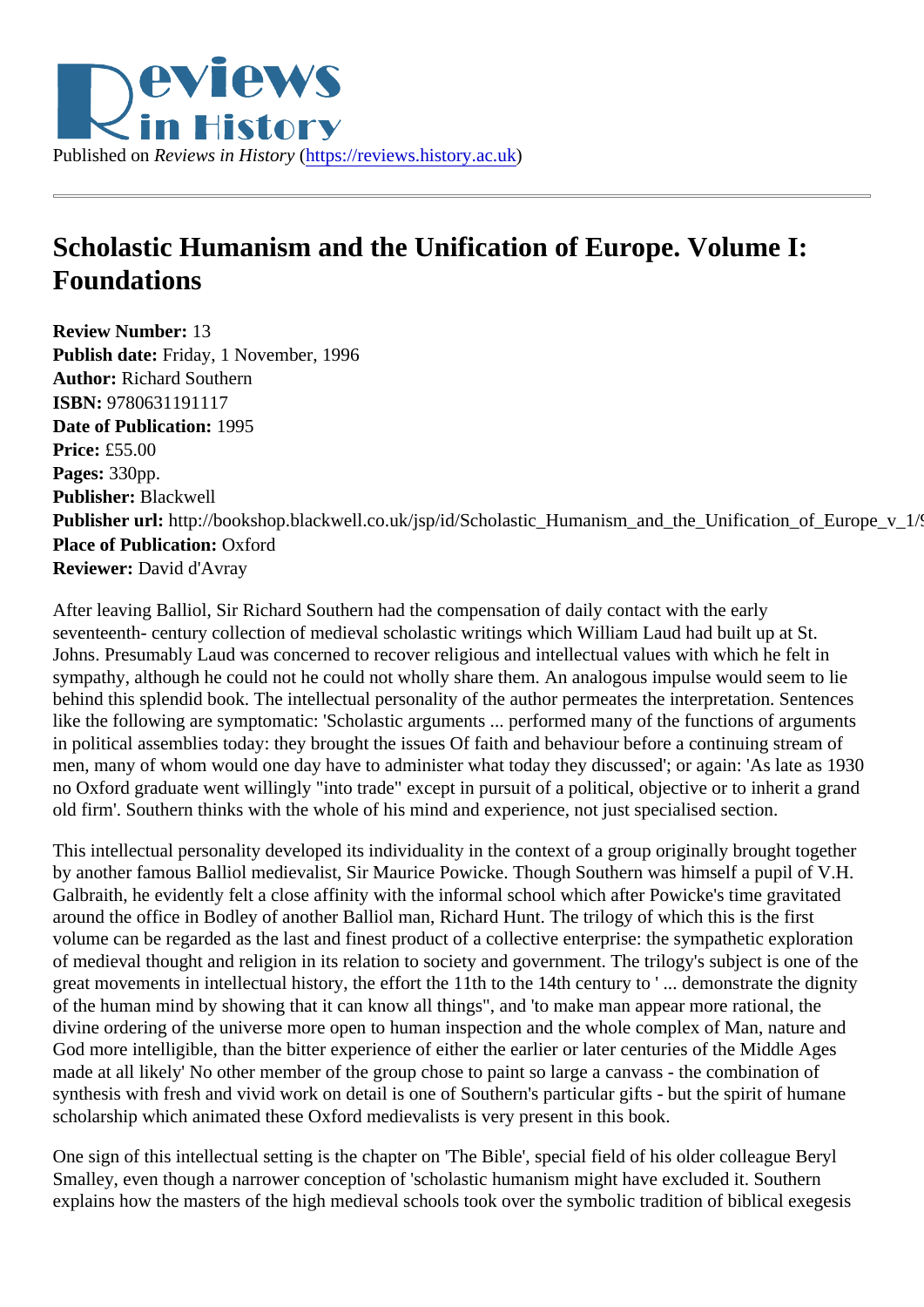## Scholastic Humanism and the Unification of Europe. Volume I: Foundations

Review Number: 13 Publish date: Friday, 1 November, 1996 Author: Richard Southern ISBN: 9780631191117 Date of Publication: 1995 Price: £55.00 Pages: 330pp. Publisher: Blackwell Publisher url: http://bookshop.blackwell.co.uk/jsp/id/Scholastic\_Humanism\_and\_the\_Unification\_of\_Europ Place of Publication: Oxford Reviewer: David d'Avray

After leaving Balliol, Sir Richard Southern had the compensation of daily contact with the early seventeenth- century collection of medieval scholastic writings which William Laud had built up at St. Johns. Presumably Laud was concerned to recover religious and intellectual values with which he felt in sympathy, although he could not he could not wholly share them. An analogous impulse would seem to lie behind this splendid book. The intellectual personality of the author permeates the interpretation. Sentence like the following are symptomatic: 'Scholastic arguments ... performed many of the functions of arguments in political assemblies today: they brought the issues Of faith and behaviour before a continuing stream of men, many of whom would one day have to administer what today they discussed'; or again: 'As late as 1930 no Oxford graduate went willingly "into trade" except in pursuit of a political, objective or to inherit a grand old firm'. Southern thinks with the whole of his mind and experience, not just specialised section.

This intellectual personality developed its individuality in the context of a group originally brought together by another famous Balliol medievalist, Sir Maurice Powicke. Though Southern was himself a pupil of V.H. Galbraith, he evidently felt a close affinity with the informal school which after Powicke's time gravitated around the office in Bodley of another Balliol man, Richard Hunt. The trilogy of which this is the first volume can be regarded as the last and finest product of a collective enterprise: the sympathetic exploration of medieval thought and religion in its relation to society and government. The trilogy's subject is one of the great movements in intellectual history, the effort the 11th to the 14th century to '... demonstrate the dignit of the human mind by showing that it can know all things", and 'to make man appear more rational, the divine ordering of the universe more open to human inspection and the whole complex of Man, nature and God more intelligible, than the bitter experience of either the earlier or later centuries of the Middle Ages made at all likely' No other member of the group chose to paint so large a canvass - the combination of synthesis with fresh and vivid work on detail is one of Southern's particular gifts - but the spirit of humane scholarship which animated these Oxford medievalists is very present in this book.

One sign of this intellectual setting is the chapter on 'The Bible', special field of his older colleague Beryl Smalley, even though a narrower conception of 'scholastic humanism might have excluded it. Southern explains how the masters of the high medieval schools took over the symbolic tradition of biblical exegesis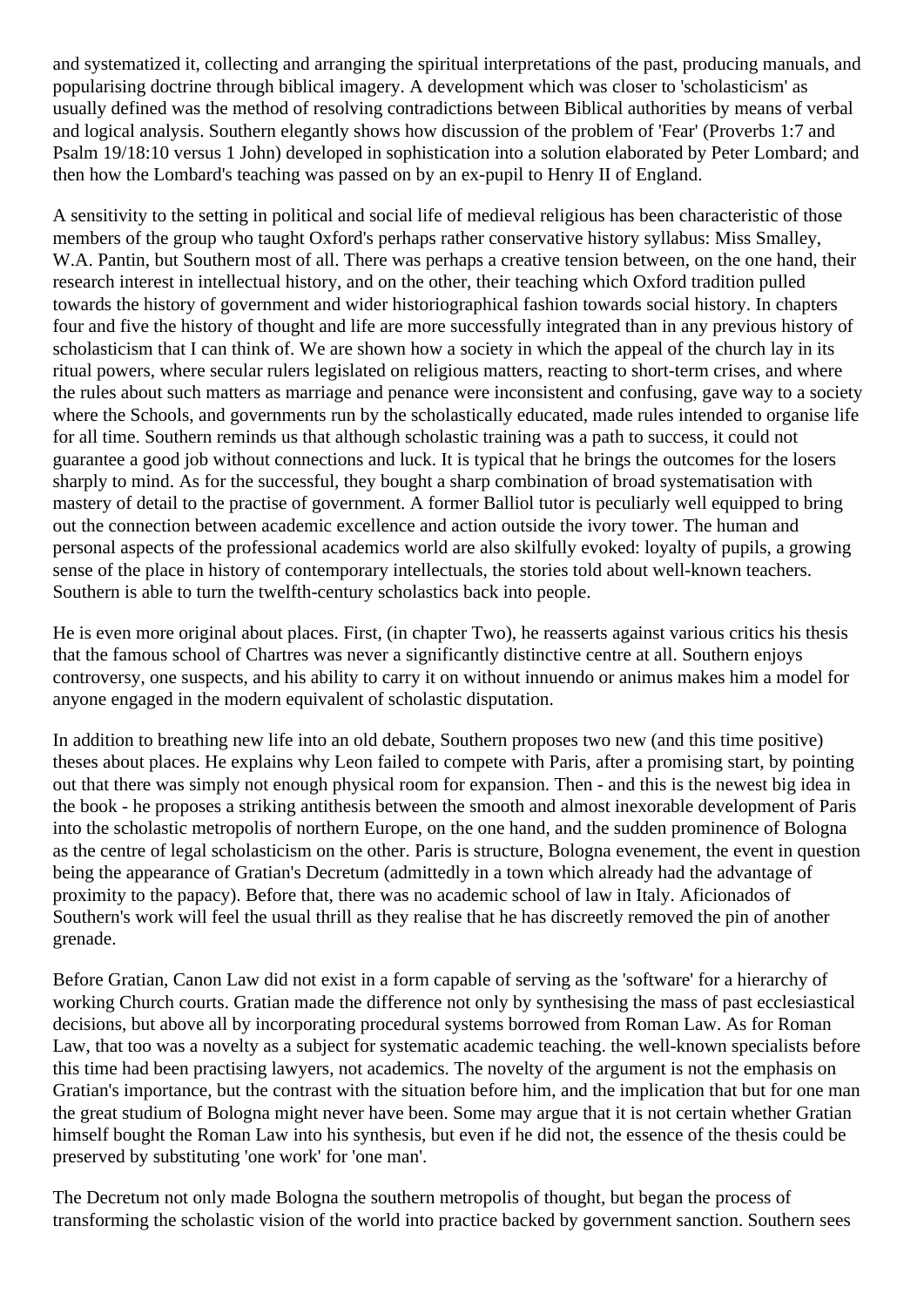and systematized it, collecting and arranging the spiritual interpretations of the past, producing manuals, and popularising doctrine through biblical imagery. A development which was closer to 'scholasticism' as usually defined was the method of resolving contradictions between Biblical authorities by means of verbal and logical analysis. Southern elegantly shows how discussion of the problem of 'Fear' (Proverbs 1:7 and Psalm 19/18:10 versus 1 John) developed in sophistication into a solution elaborated by Peter Lombard; and then how the Lombard's teaching was passed on by an ex-pupil to Henry II of England.

A sensitivity to the setting in political and social life of medieval religious has been characteristic of those members of the group who taught Oxford's perhaps rather conservative history syllabus: Miss Smalley, W.A. Pantin, but Southern most of all. There was perhaps a creative tension between, on the one hand, their research interest in intellectual history, and on the other, their teaching which Oxford tradition pulled towards the history of government and wider historiographical fashion towards social history. In chapters four and five the history of thought and life are more successfully integrated than in any previous history of scholasticism that I can think of. We are shown how a society in which the appeal of the church lay in its ritual powers, where secular rulers legislated on religious matters, reacting to short-term crises, and where the rules about such matters as marriage and penance were inconsistent and confusing, gave way to a society where the Schools, and governments run by the scholastically educated, made rules intended to organise life for all time. Southern reminds us that although scholastic training was a path to success, it could not guarantee a good job without connections and luck. It is typical that he brings the outcomes for the losers sharply to mind. As for the successful, they bought a sharp combination of broad systematisation with mastery of detail to the practise of government. A former Balliol tutor is peculiarly well equipped to bring out the connection between academic excellence and action outside the ivory tower. The human and personal aspects of the professional academics world are also skilfully evoked: loyalty of pupils, a growing sense of the place in history of contemporary intellectuals, the stories told about well-known teachers. Southern is able to turn the twelfth-century scholastics back into people.

He is even more original about places. First, (in chapter Two), he reasserts against various critics his thesis that the famous school of Chartres was never a significantly distinctive centre at all. Southern enjoys controversy, one suspects, and his ability to carry it on without innuendo or animus makes him a model for anyone engaged in the modern equivalent of scholastic disputation.

In addition to breathing new life into an old debate, Southern proposes two new (and this time positive) theses about places. He explains why Leon failed to compete with Paris, after a promising start, by pointing out that there was simply not enough physical room for expansion. Then - and this is the newest big idea in the book - he proposes a striking antithesis between the smooth and almost inexorable development of Paris into the scholastic metropolis of northern Europe, on the one hand, and the sudden prominence of Bologna as the centre of legal scholasticism on the other. Paris is structure, Bologna evenement, the event in question being the appearance of Gratian's Decretum (admittedly in a town which already had the advantage of proximity to the papacy). Before that, there was no academic school of law in Italy. Aficionados of Southern's work will feel the usual thrill as they realise that he has discreetly removed the pin of another grenade.

Before Gratian, Canon Law did not exist in a form capable of serving as the 'software' for a hierarchy of working Church courts. Gratian made the difference not only by synthesising the mass of past ecclesiastical decisions, but above all by incorporating procedural systems borrowed from Roman Law. As for Roman Law, that too was a novelty as a subject for systematic academic teaching. the well-known specialists before this time had been practising lawyers, not academics. The novelty of the argument is not the emphasis on Gratian's importance, but the contrast with the situation before him, and the implication that but for one man the great studium of Bologna might never have been. Some may argue that it is not certain whether Gratian himself bought the Roman Law into his synthesis, but even if he did not, the essence of the thesis could be preserved by substituting 'one work' for 'one man'.

The Decretum not only made Bologna the southern metropolis of thought, but began the process of transforming the scholastic vision of the world into practice backed by government sanction. Southern sees